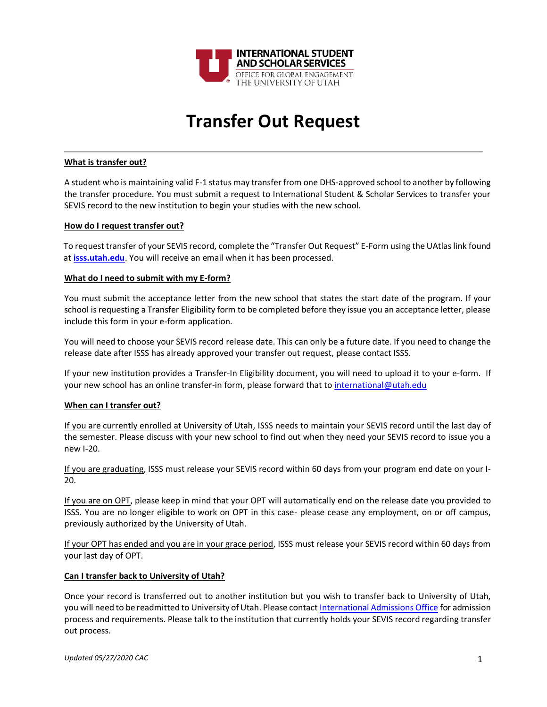

# **Transfer Out Request**

### **What is transfer out?**

A student who is maintaining valid F-1 status may transfer from one DHS-approved school to another by following the transfer procedure. You must submit a request to International Student & Scholar Services to transfer your SEVIS record to the new institution to begin your studies with the new school.

#### **How do I request transfer out?**

To request transfer of your SEVIS record, complete the "Transfer Out Request" E-Form using the UAtlas link found at **[isss.utah.edu](http://isss.utah.edu/)**. You will receive an email when it has been processed.

#### **What do I need to submit with my E-form?**

You must submit the acceptance letter from the new school that states the start date of the program. If your school is requesting a Transfer Eligibility form to be completed before they issue you an acceptance letter, please include this form in your e-form application.

You will need to choose your SEVIS record release date. This can only be a future date. If you need to change the release date after ISSS has already approved your transfer out request, please contact ISSS.

If your new institution provides a Transfer-In Eligibility document, you will need to upload it to your e-form. If your new school has an online transfer-in form, please forward that t[o international@utah.edu](mailto:international@utah.edu)

## **When can I transfer out?**

If you are currently enrolled at University of Utah, ISSS needs to maintain your SEVIS record until the last day of the semester. Please discuss with your new school to find out when they need your SEVIS record to issue you a new I-20.

If you are graduating, ISSS must release your SEVIS record within 60 days from your program end date on your I-20.

If you are on OPT, please keep in mind that your OPT will automatically end on the release date you provided to ISSS. You are no longer eligible to work on OPT in this case- please cease any employment, on or off campus, previously authorized by the University of Utah.

If your OPT has ended and you are in your grace period, ISSS must release your SEVIS record within 60 days from your last day of OPT.

## **Can I transfer back to University of Utah?**

Once your record is transferred out to another institution but you wish to transfer back to University of Utah, you will need to be readmitted to University of Utah. Please contac[t International Admissions Office](http://admissions.utah.edu/international/) for admission process and requirements. Please talk to the institution that currently holds your SEVIS record regarding transfer out process.